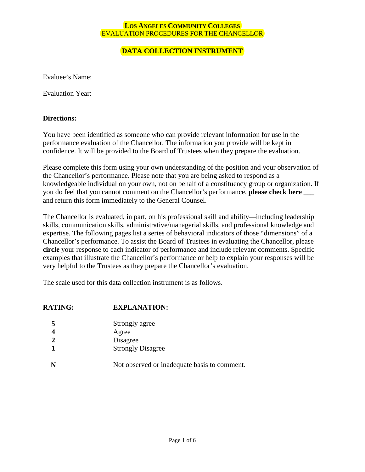## **DATA COLLECTION INSTRUMENT**

Evaluee's Name:

Evaluation Year:

#### **Directions:**

You have been identified as someone who can provide relevant information for use in the performance evaluation of the Chancellor. The information you provide will be kept in confidence. It will be provided to the Board of Trustees when they prepare the evaluation.

Please complete this form using your own understanding of the position and your observation of the Chancellor's performance. Please note that you are being asked to respond as a knowledgeable individual on your own, not on behalf of a constituency group or organization. If you do feel that you cannot comment on the Chancellor's performance, **please check here** and return this form immediately to the General Counsel.

The Chancellor is evaluated, in part, on his professional skill and ability—including leadership skills, communication skills, administrative/managerial skills, and professional knowledge and expertise. The following pages list a series of behavioral indicators of those "dimensions" of a Chancellor's performance. To assist the Board of Trustees in evaluating the Chancellor, please **circle** your response to each indicator of performance and include relevant comments. Specific examples that illustrate the Chancellor's performance or help to explain your responses will be very helpful to the Trustees as they prepare the Chancellor's evaluation.

The scale used for this data collection instrument is as follows.

# **RATING: EXPLANATION:**

- **5** Strongly agree
- **4** Agree
- **2** Disagree
- **1** Strongly Disagree
- N Not observed or inadequate basis to comment.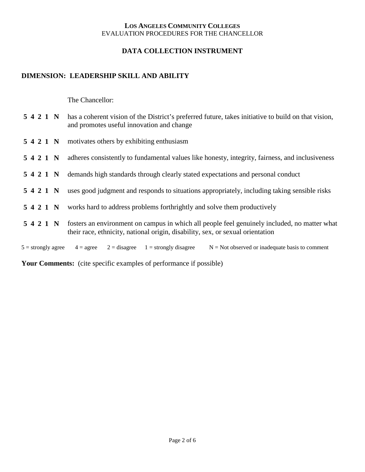## **DATA COLLECTION INSTRUMENT**

## **DIMENSION: LEADERSHIP SKILL AND ABILITY**

The Chancellor:

|                      | 5 4 2 1 N has a coherent vision of the District's preferred future, takes initiative to build on that vision,<br>and promotes useful innovation and change                     |
|----------------------|--------------------------------------------------------------------------------------------------------------------------------------------------------------------------------|
|                      | 5 4 2 1 N motivates others by exhibiting enthusiasm                                                                                                                            |
| 5421 N               | adheres consistently to fundamental values like honesty, integrity, fairness, and inclusiveness                                                                                |
| 5421 N               | demands high standards through clearly stated expectations and personal conduct                                                                                                |
| 5421 N               | uses good judgment and responds to situations appropriately, including taking sensible risks                                                                                   |
| 5421 N               | works hard to address problems forthrightly and solve them productively                                                                                                        |
| 5421 N               | fosters an environment on campus in which all people feel genuinely included, no matter what<br>their race, ethnicity, national origin, disability, sex, or sexual orientation |
| $5 =$ strongly agree | $2 =$ disagree $1 =$ strongly disagree<br>$N = Not observed$ or inadequate basis to comment<br>$4 = \text{agree}$                                                              |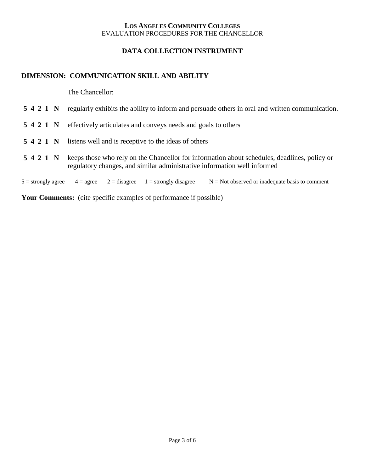### **DATA COLLECTION INSTRUMENT**

### **DIMENSION: COMMUNICATION SKILL AND ABILITY**

The Chancellor:

- **5 4 2 1 N** effectively articulates and conveys needs and goals to others
- **5 4 2 1 N** listens well and is receptive to the ideas of others
- **5 4 2 1 N** keeps those who rely on the Chancellor for information about schedules, deadlines, policy or regulatory changes, and similar administrative information well informed

 $5 =$  strongly agree  $4 =$  agree  $2 =$  disagree  $1 =$  strongly disagree  $N =$  N  $=$  Not observed or inadequate basis to comment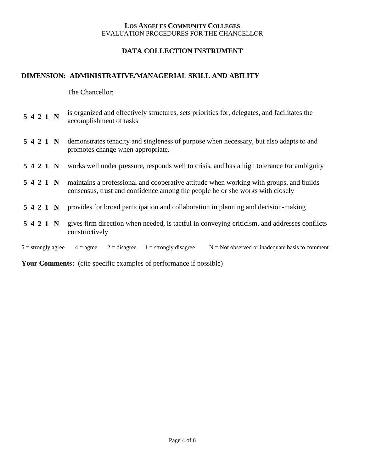## **DATA COLLECTION INSTRUMENT**

## **DIMENSION: ADMINISTRATIVE/MANAGERIAL SKILL AND ABILITY**

The Chancellor:

| 5421 N               |  | is organized and effectively structures, sets priorities for, delegates, and facilitates the<br>accomplishment of tasks                                                 |
|----------------------|--|-------------------------------------------------------------------------------------------------------------------------------------------------------------------------|
| 5421 N               |  | demonstrates tenacity and singleness of purpose when necessary, but also adapts to and<br>promotes change when appropriate.                                             |
| 5421 N               |  | works well under pressure, responds well to crisis, and has a high tolerance for ambiguity                                                                              |
| 5421 N               |  | maintains a professional and cooperative attitude when working with groups, and builds<br>consensus, trust and confidence among the people he or she works with closely |
| 5421 N               |  | provides for broad participation and collaboration in planning and decision-making                                                                                      |
| 5421 N               |  | gives firm direction when needed, is tactful in conveying criticism, and addresses conflicts<br>constructively                                                          |
| $5 =$ strongly agree |  | $1 =$ strongly disagree<br>$N = Not$ observed or inadequate basis to comment<br>$4 = \text{agree}$<br>$2 =$ disagree                                                    |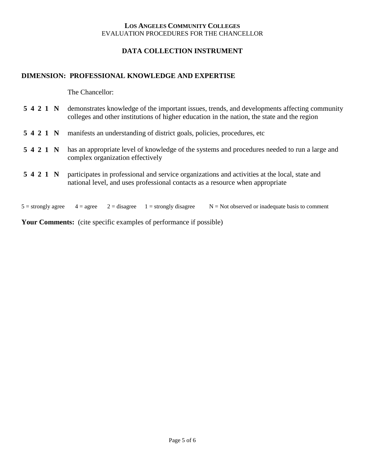## **DATA COLLECTION INSTRUMENT**

## **DIMENSION: PROFESSIONAL KNOWLEDGE AND EXPERTISE**

The Chancellor:

|  |        | 5421 N | demonstrates knowledge of the important issues, trends, and developments affecting community<br>colleges and other institutions of higher education in the nation, the state and the region |
|--|--------|--------|---------------------------------------------------------------------------------------------------------------------------------------------------------------------------------------------|
|  | 5421 N |        | manifests an understanding of district goals, policies, procedures, etc.                                                                                                                    |
|  |        | 5421 N | has an appropriate level of knowledge of the systems and procedures needed to run a large and<br>complex organization effectively                                                           |
|  |        | 5421 N | participates in professional and service organizations and activities at the local, state and<br>national level, and uses professional contacts as a resource when appropriate              |
|  |        |        |                                                                                                                                                                                             |

5 = strongly agree  $4 = \text{agree}$   $2 = \text{disagree}$   $1 = \text{strongly disagree}$   $N = \text{Not observed or inadequate basis to comment}$